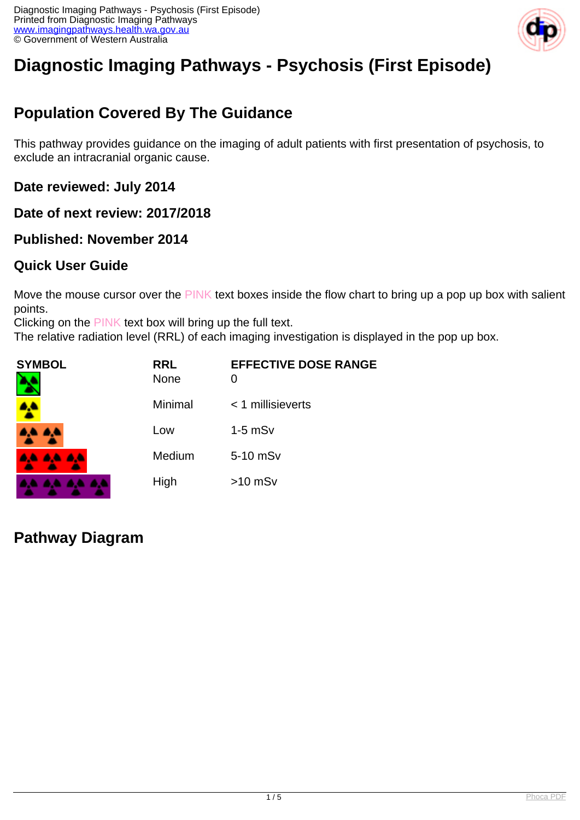

# **Diagnostic Imaging Pathways - Psychosis (First Episode)**

## **Population Covered By The Guidance**

This pathway provides guidance on the imaging of adult patients with first presentation of psychosis, to exclude an intracranial organic cause.

**Date reviewed: July 2014**

**Date of next review: 2017/2018**

**Published: November 2014**

### **Quick User Guide**

Move the mouse cursor over the PINK text boxes inside the flow chart to bring up a pop up box with salient points.

Clicking on the PINK text box will bring up the full text.

The relative radiation level (RRL) of each imaging investigation is displayed in the pop up box.

| SYMBOL   | <b>RRL</b><br><b>None</b> | <b>EFFECTIVE DOSE RANGE</b> |
|----------|---------------------------|-----------------------------|
| 4        | Minimal                   | $<$ 1 millisieverts         |
| 4,4 4,4  | Low                       | $1-5$ mSv                   |
| AA AA AA | Medium                    | 5-10 mSv                    |
|          | High                      | $>10$ mSv                   |

**Pathway Diagram**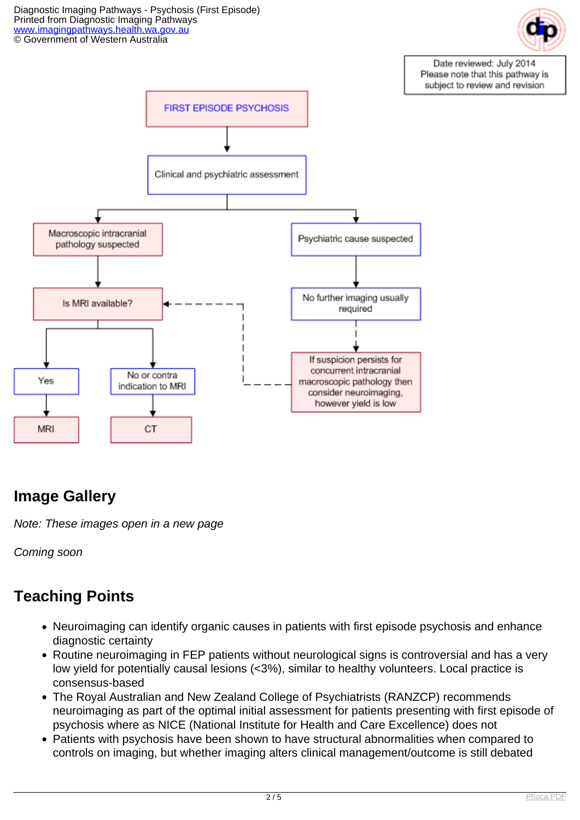Diagnostic Imaging Pathways - Psychosis (First Episode) Printed from Diagnostic Imaging Pathways [www.imagingpathways.health.wa.gov.au](http://www.imagingpathways.health.wa.gov.au/) © Government of Western Australia



Date reviewed: July 2014 Please note that this pathway is subject to review and revision



## **Image Gallery**

Note: These images open in a new page

Coming soon

## **Teaching Points**

- Neuroimaging can identify organic causes in patients with first episode psychosis and enhance diagnostic certainty
- Routine neuroimaging in FEP patients without neurological signs is controversial and has a very low yield for potentially causal lesions (<3%), similar to healthy volunteers. Local practice is consensus-based
- The Royal Australian and New Zealand College of Psychiatrists (RANZCP) recommends neuroimaging as part of the optimal initial assessment for patients presenting with first episode of psychosis where as NICE (National Institute for Health and Care Excellence) does not
- Patients with psychosis have been shown to have structural abnormalities when compared to controls on imaging, but whether imaging alters clinical management/outcome is still debated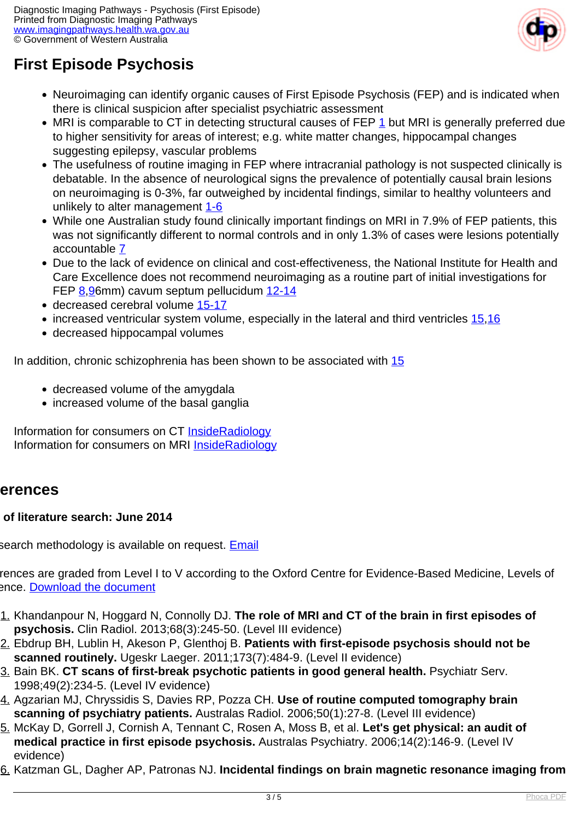

## **First Episode Psychosis**

- Neuroimaging can identify organic causes of First Episode Psychosis (FEP) and is indicated when there is clinical suspicion after specialist psychiatric assessment
- MRI is comparable to CT in detecting structural causes of FEP [1](index.php?option=com_content&view=article&id=87&tab=references#1) but MRI is generally preferred due to higher sensitivity for areas of interest; e.g. white matter changes, hippocampal changes suggesting epilepsy, vascular problems
- The usefulness of routine imaging in FEP where intracranial pathology is not suspected clinically is debatable. In the absence of neurological signs the prevalence of potentially causal brain lesions on neuroimaging is 0-3%, far outweighed by incidental findings, similar to healthy volunteers and unlikely to alter management [1-6](index.php?option=com_content&view=article&id=87&tab=references#1)
- While one Australian study found clinically important findings on MRI in 7.9% of FEP patients, this was not significantly different to normal controls and in only 1.3% of cases were lesions potentially accountable [7](index.php?option=com_content&view=article&id=87&tab=references#7)
- Due to the lack of evidence on clinical and cost-effectiveness, the National Institute for Health and Care Excellence does not recommend neuroimaging as a routine part of initial investigations for FEP [8,](index.php?option=com_content&view=article&id=87&tab=references#8)[96](index.php?option=com_content&view=article&id=87&tab=references#9)mm) cavum septum pellucidum [12-14](index.php?option=com_content&view=article&id=87&tab=references#12)
- decreased cerebral volume [15-17](index.php?option=com_content&view=article&id=87&tab=references#15)
- $\bullet$  increased ventricular system volume, especially in the lateral and third ventricles  $15,16$  $15,16$
- decreased hippocampal volumes

In addition, chronic schizophrenia has been shown to be associated with  $15$ 

- decreased volume of the amvadala
- increased volume of the basal ganglia

Information for consumers on CT **[InsideRadiology](http://insideradiology.com.au/pages/view.php?T_id=61#.U7y8AHbc-ec)** Information for consumers on MRI [InsideRadiology](http://insideradiology.com.au/pages/view.php?T_id=53#.U7y8NHbc-ec)

### **References**

### **Date of literature search: June 2014**

search methodology is available on request. [Email](index.php/contact-us)

rences are graded from Level I to V according to the Oxford Centre for Evidence-Based Medicine, Levels of ence. [Download the document](http://www.cebm.net/wp-content/uploads/2014/06/CEBM-Levels-of-Evidence-2.1.pdf)

- 1. Khandanpour N, Hoggard N, Connolly DJ. **The role of MRI and CT of the brain in first episodes of psychosis.** Clin Radiol. 2013;68(3):245-50. (Level III evidence)
- 2. Ebdrup BH, Lublin H, Akeson P, Glenthoj B. **Patients with first-episode psychosis should not be scanned routinely.** Ugeskr Laeger. 2011;173(7):484-9. (Level II evidence)
- 3. Bain BK. **CT scans of first-break psychotic patients in good general health.** Psychiatr Serv. 1998;49(2):234-5. (Level IV evidence)
- 4. Agzarian MJ, Chryssidis S, Davies RP, Pozza CH. **Use of routine computed tomography brain scanning of psychiatry patients.** Australas Radiol. 2006;50(1):27-8. (Level III evidence)
- 5. McKay D, Gorrell J, Cornish A, Tennant C, Rosen A, Moss B, et al. **Let's get physical: an audit of medical practice in first episode psychosis.** Australas Psychiatry. 2006;14(2):146-9. (Level IV evidence)
- 6. Katzman GL, Dagher AP, Patronas NJ. **Incidental findings on brain magnetic resonance imaging from**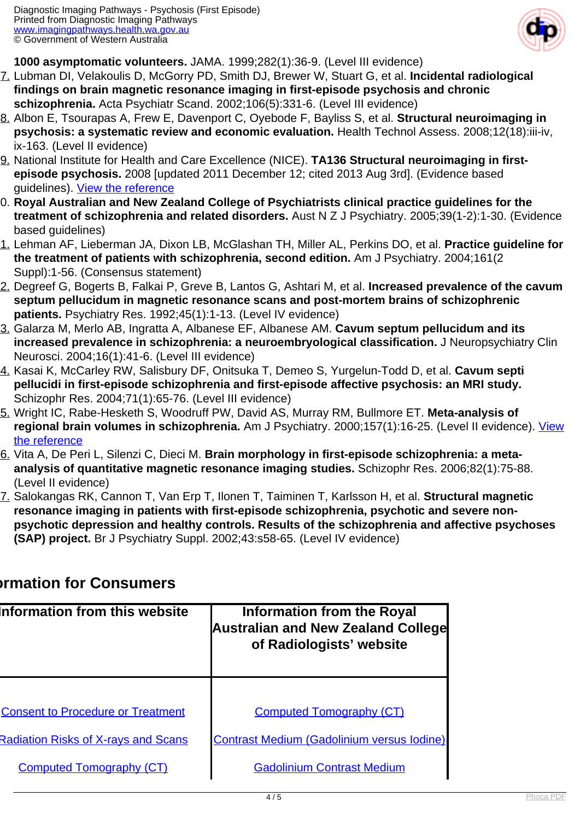

**1000 asymptomatic volunteers.** JAMA. 1999;282(1):36-9. (Level III evidence)

- 7. Lubman DI, Velakoulis D, McGorry PD, Smith DJ, Brewer W, Stuart G, et al. **Incidental radiological findings on brain magnetic resonance imaging in first-episode psychosis and chronic schizophrenia.** Acta Psychiatr Scand. 2002;106(5):331-6. (Level III evidence)
- 8. Albon E, Tsourapas A, Frew E, Davenport C, Oyebode F, Bayliss S, et al. **Structural neuroimaging in psychosis: a systematic review and economic evaluation.** Health Technol Assess. 2008;12(18):iii-iv, ix-163. (Level II evidence)
- 9. National Institute for Health and Care Excellence (NICE). **TA136 Structural neuroimaging in firstepisode psychosis.** 2008 [updated 2011 December 12; cited 2013 Aug 3rd]. (Evidence based guidelines). [View the reference](http://guidance.nice.org.uk/TA136/QuickRefGuide/pdf/English)
- 10. **Royal Australian and New Zealand College of Psychiatrists clinical practice guidelines for the treatment of schizophrenia and related disorders.** Aust N Z J Psychiatry. 2005;39(1-2):1-30. (Evidence based quidelines)
- 11. Lehman AF, Lieberman JA, Dixon LB, McGlashan TH, Miller AL, Perkins DO, et al. **Practice guideline for the treatment of patients with schizophrenia, second edition.** Am J Psychiatry. 2004;161(2 Suppl):1-56. (Consensus statement)
- 12. Degreef G, Bogerts B, Falkai P, Greve B, Lantos G, Ashtari M, et al. **Increased prevalence of the cavum septum pellucidum in magnetic resonance scans and post-mortem brains of schizophrenic patients.** Psychiatry Res. 1992;45(1):1-13. (Level IV evidence)
- 13. Galarza M, Merlo AB, Ingratta A, Albanese EF, Albanese AM. **Cavum septum pellucidum and its increased prevalence in schizophrenia: a neuroembryological classification.** J Neuropsychiatry Clin Neurosci. 2004;16(1):41-6. (Level III evidence)
- 14. Kasai K, McCarley RW, Salisbury DF, Onitsuka T, Demeo S, Yurgelun-Todd D, et al. **Cavum septi pellucidi in first-episode schizophrenia and first-episode affective psychosis: an MRI study.** Schizophr Res. 2004;71(1):65-76. (Level III evidence)
- 15. Wright IC, Rabe-Hesketh S, Woodruff PW, David AS, Murray RM, Bullmore ET. **Meta-analysis of regional brain volumes in schizophrenia.** Am J Psychiatry. 2000;157(1):16-25. (Level II evidence). [View](http://www.ncbi.nlm.nih.gov/pubmed/10618008) [the reference](http://www.ncbi.nlm.nih.gov/pubmed/10618008)
- 16. Vita A, De Peri L, Silenzi C, Dieci M. **Brain morphology in first-episode schizophrenia: a metaanalysis of quantitative magnetic resonance imaging studies.** Schizophr Res. 2006;82(1):75-88. (Level II evidence)
- 17. Salokangas RK, Cannon T, Van Erp T, Ilonen T, Taiminen T, Karlsson H, et al. **Structural magnetic resonance imaging in patients with first-episode schizophrenia, psychotic and severe nonpsychotic depression and healthy controls. Results of the schizophrenia and affective psychoses (SAP) project.** Br J Psychiatry Suppl. 2002;43:s58-65. (Level IV evidence)

### **Information for Consumers**

| Information from this website              | <b>Information from the Royal</b><br><b>Australian and New Zealand College</b><br>of Radiologists' website |  |
|--------------------------------------------|------------------------------------------------------------------------------------------------------------|--|
| <b>Consent to Procedure or Treatment</b>   | <b>Computed Tomography (CT)</b>                                                                            |  |
| <b>Radiation Risks of X-rays and Scans</b> | <b>Contrast Medium (Gadolinium versus lodine)</b>                                                          |  |
| <b>Computed Tomography (CT)</b>            | <b>Gadolinium Contrast Medium</b>                                                                          |  |